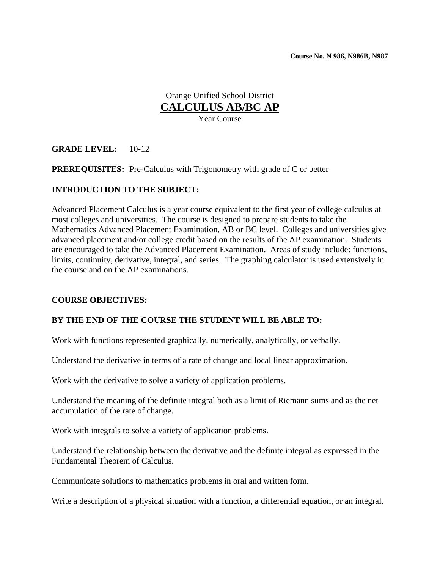# Orange Unified School District **CALCULUS AB/BC AP**

Year Course

### **GRADE LEVEL:** 10-12

### **PREREQUISITES:** Pre-Calculus with Trigonometry with grade of C or better

### **INTRODUCTION TO THE SUBJECT:**

Advanced Placement Calculus is a year course equivalent to the first year of college calculus at most colleges and universities. The course is designed to prepare students to take the Mathematics Advanced Placement Examination, AB or BC level. Colleges and universities give advanced placement and/or college credit based on the results of the AP examination. Students are encouraged to take the Advanced Placement Examination. Areas of study include: functions, limits, continuity, derivative, integral, and series. The graphing calculator is used extensively in the course and on the AP examinations.

### **COURSE OBJECTIVES:**

### **BY THE END OF THE COURSE THE STUDENT WILL BE ABLE TO:**

Work with functions represented graphically, numerically, analytically, or verbally.

Understand the derivative in terms of a rate of change and local linear approximation.

Work with the derivative to solve a variety of application problems.

Understand the meaning of the definite integral both as a limit of Riemann sums and as the net accumulation of the rate of change.

Work with integrals to solve a variety of application problems.

Understand the relationship between the derivative and the definite integral as expressed in the Fundamental Theorem of Calculus.

Communicate solutions to mathematics problems in oral and written form.

Write a description of a physical situation with a function, a differential equation, or an integral.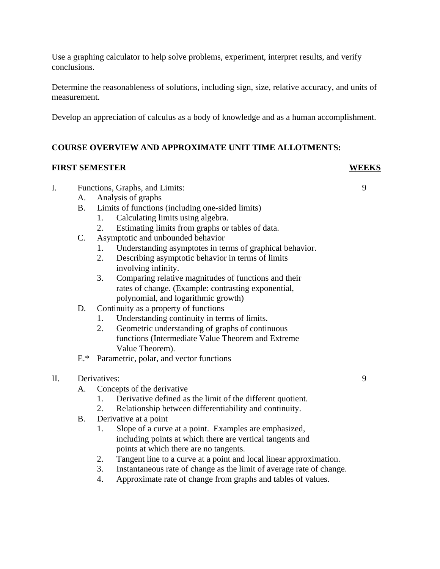Use a graphing calculator to help solve problems, experiment, interpret results, and verify conclusions.

Determine the reasonableness of solutions, including sign, size, relative accuracy, and units of measurement.

Develop an appreciation of calculus as a body of knowledge and as a human accomplishment.

# **COURSE OVERVIEW AND APPROXIMATE UNIT TIME ALLOTMENTS:**

### **FIRST SEMESTER WEEKS**

- I. Functions, Graphs, and Limits: 9
	- A. Analysis of graphs
	- B. Limits of functions (including one-sided limits)
		- 1. Calculating limits using algebra.
		- 2. Estimating limits from graphs or tables of data.
	- C. Asymptotic and unbounded behavior
		- 1. Understanding asymptotes in terms of graphical behavior.
		- 2. Describing asymptotic behavior in terms of limits involving infinity.
		- 3. Comparing relative magnitudes of functions and their rates of change. (Example: contrasting exponential, polynomial, and logarithmic growth)
	- D. Continuity as a property of functions
		- 1. Understanding continuity in terms of limits.
		- 2. Geometric understanding of graphs of continuous functions (Intermediate Value Theorem and Extreme Value Theorem).
	- E.\* Parametric, polar, and vector functions

### II. Derivatives: 9

- A. Concepts of the derivative
	- 1. Derivative defined as the limit of the different quotient.
	- 2. Relationship between differentiability and continuity.
- B. Derivative at a point
	- 1. Slope of a curve at a point. Examples are emphasized, including points at which there are vertical tangents and points at which there are no tangents.
	- 2. Tangent line to a curve at a point and local linear approximation.
	- 3. Instantaneous rate of change as the limit of average rate of change.
	- 4. Approximate rate of change from graphs and tables of values.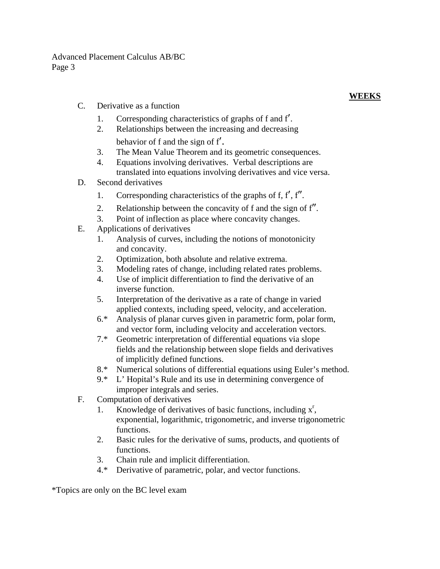Advanced Placement Calculus AB/BC Page 3

C. Derivative as a function

# **WEEKS**

- 1. Corresponding characteristics of graphs of f and f′.
- 2. Relationships between the increasing and decreasing
- behavior of f and the sign of f'.<br>3. The Mean Value Theorem and its geometric consequences.
- 4. Equations involving derivatives. Verbal descriptions are translated into equations involving derivatives and vice versa.
- D. Second derivatives
	- 1. Corresponding characteristics of the graphs of f, f′, f″.
	- 2. Relationship between the concavity of f and the sign of f″.
	- 3. Point of inflection as place where concavity changes.
- E. Applications of derivatives
	- 1. Analysis of curves, including the notions of monotonicity and concavity.
	- 2. Optimization, both absolute and relative extrema.
	- 3. Modeling rates of change, including related rates problems.
	- 4. Use of implicit differentiation to find the derivative of an inverse function.
	- 5. Interpretation of the derivative as a rate of change in varied applied contexts, including speed, velocity, and acceleration.
	- 6.\* Analysis of planar curves given in parametric form, polar form, and vector form, including velocity and acceleration vectors.
	- 7.\* Geometric interpretation of differential equations via slope fields and the relationship between slope fields and derivatives of implicitly defined functions.
	- 8.\* Numerical solutions of differential equations using Euler's method.
	- 9.\* L' Hopital's Rule and its use in determining convergence of improper integrals and series.
- F. Computation of derivatives
	- 1. Knowledge of derivatives of basic functions, including  $x<sup>r</sup>$ , exponential, logarithmic, trigonometric, and inverse trigonometric functions.
	- 2. Basic rules for the derivative of sums, products, and quotients of functions.
	- 3. Chain rule and implicit differentiation.
	- 4.\* Derivative of parametric, polar, and vector functions.

\*Topics are only on the BC level exam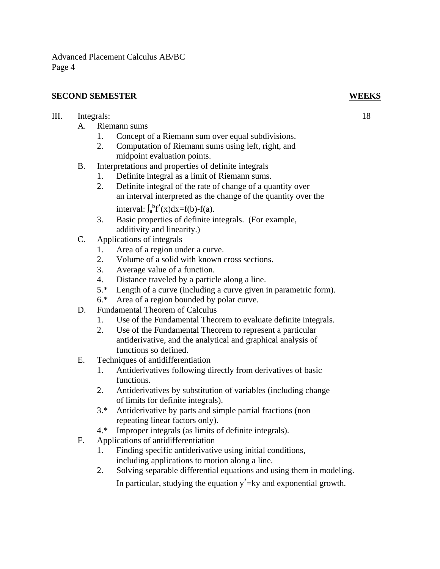Advanced Placement Calculus AB/BC Page 4

# **SECOND SEMESTER WEEKS**

# III. Integrals: 18

- A. Riemann sums
	- 1. Concept of a Riemann sum over equal subdivisions.
	- 2. Computation of Riemann sums using left, right, and midpoint evaluation points.
- B. Interpretations and properties of definite integrals
	- 1. Definite integral as a limit of Riemann sums.
	- 2. Definite integral of the rate of change of a quantity over an interval interpreted as the change of the quantity over the interval:  $\int_a^b f'(x)dx = f(b) - f(a)$ .
	- 3. Basic properties of definite integrals. (For example, additivity and linearity.)
- C. Applications of integrals
	- 1. Area of a region under a curve.
	- 2. Volume of a solid with known cross sections.
	- 3. Average value of a function.
	- 4. Distance traveled by a particle along a line.
	- 5.\* Length of a curve (including a curve given in parametric form).
	- 6.\* Area of a region bounded by polar curve.
- D. Fundamental Theorem of Calculus
	- 1. Use of the Fundamental Theorem to evaluate definite integrals.
	- 2. Use of the Fundamental Theorem to represent a particular antiderivative, and the analytical and graphical analysis of functions so defined.
- E. Techniques of antidifferentiation
	- 1. Antiderivatives following directly from derivatives of basic functions.
	- 2. Antiderivatives by substitution of variables (including change of limits for definite integrals).
	- 3.\* Antiderivative by parts and simple partial fractions (non repeating linear factors only).
	- 4.\* Improper integrals (as limits of definite integrals).
- F. Applications of antidifferentiation
	- 1. Finding specific antiderivative using initial conditions, including applications to motion along a line.
	- 2. Solving separable differential equations and using them in modeling. In particular, studying the equation  $y' = ky$  and exponential growth.